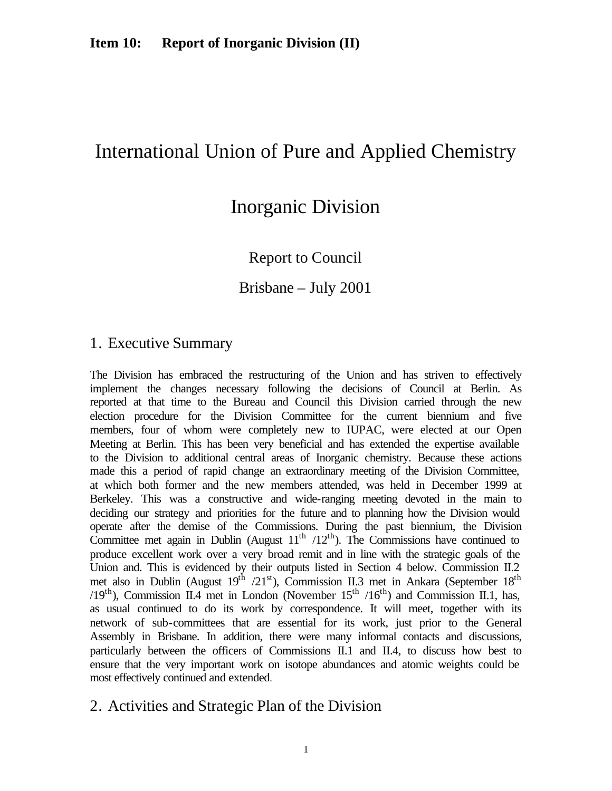# International Union of Pure and Applied Chemistry

# Inorganic Division

Report to Council

Brisbane – July 2001

## 1. Executive Summary

The Division has embraced the restructuring of the Union and has striven to effectively implement the changes necessary following the decisions of Council at Berlin. As reported at that time to the Bureau and Council this Division carried through the new election procedure for the Division Committee for the current biennium and five members, four of whom were completely new to IUPAC, were elected at our Open Meeting at Berlin. This has been very beneficial and has extended the expertise available to the Division to additional central areas of Inorganic chemistry. Because these actions made this a period of rapid change an extraordinary meeting of the Division Committee, at which both former and the new members attended, was held in December 1999 at Berkeley. This was a constructive and wide-ranging meeting devoted in the main to deciding our strategy and priorities for the future and to planning how the Division would operate after the demise of the Commissions. During the past biennium, the Division Committee met again in Dublin (August  $11<sup>th</sup>$  /12<sup>th</sup>). The Commissions have continued to produce excellent work over a very broad remit and in line with the strategic goals of the Union and. This is evidenced by their outputs listed in Section 4 below. Commission II.2 met also in Dublin (August  $19^{th}$  /21<sup>st</sup>), Commission II.3 met in Ankara (September  $18^{th}$  $(19<sup>th</sup>)$ , Commission II.4 met in London (November  $15<sup>th</sup> / 16<sup>th</sup>$ ) and Commission II.1, has, as usual continued to do its work by correspondence. It will meet, together with its network of sub-committees that are essential for its work, just prior to the General Assembly in Brisbane. In addition, there were many informal contacts and discussions, particularly between the officers of Commissions II.1 and II.4, to discuss how best to ensure that the very important work on isotope abundances and atomic weights could be most effectively continued and extended.

### 2. Activities and Strategic Plan of the Division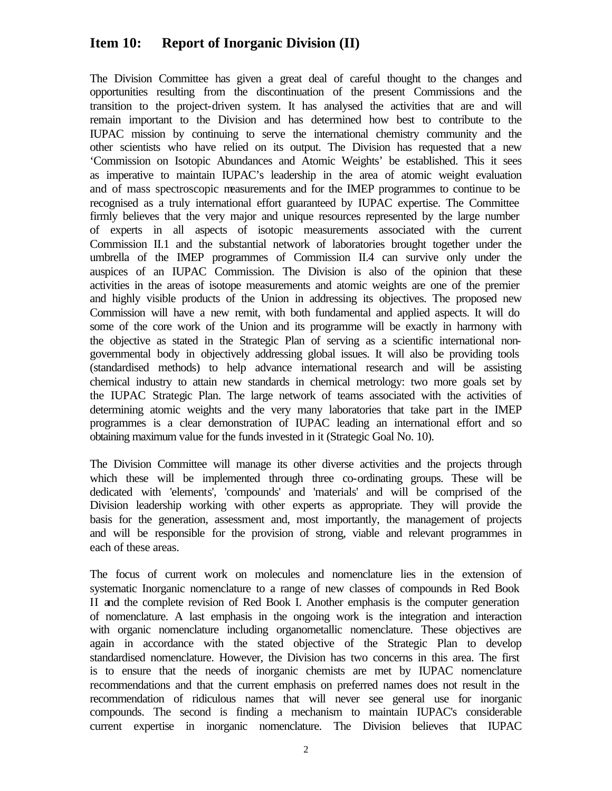The Division Committee has given a great deal of careful thought to the changes and opportunities resulting from the discontinuation of the present Commissions and the transition to the project-driven system. It has analysed the activities that are and will remain important to the Division and has determined how best to contribute to the IUPAC mission by continuing to serve the international chemistry community and the other scientists who have relied on its output. The Division has requested that a new 'Commission on Isotopic Abundances and Atomic Weights' be established. This it sees as imperative to maintain IUPAC's leadership in the area of atomic weight evaluation and of mass spectroscopic measurements and for the IMEP programmes to continue to be recognised as a truly international effort guaranteed by IUPAC expertise. The Committee firmly believes that the very major and unique resources represented by the large number of experts in all aspects of isotopic measurements associated with the current Commission II.1 and the substantial network of laboratories brought together under the umbrella of the IMEP programmes of Commission II.4 can survive only under the auspices of an IUPAC Commission. The Division is also of the opinion that these activities in the areas of isotope measurements and atomic weights are one of the premier and highly visible products of the Union in addressing its objectives. The proposed new Commission will have a new remit, with both fundamental and applied aspects. It will do some of the core work of the Union and its programme will be exactly in harmony with the objective as stated in the Strategic Plan of serving as a scientific international nongovernmental body in objectively addressing global issues. It will also be providing tools (standardised methods) to help advance international research and will be assisting chemical industry to attain new standards in chemical metrology: two more goals set by the IUPAC Strategic Plan. The large network of teams associated with the activities of determining atomic weights and the very many laboratories that take part in the IMEP programmes is a clear demonstration of IUPAC leading an international effort and so obtaining maximum value for the funds invested in it (Strategic Goal No. 10).

The Division Committee will manage its other diverse activities and the projects through which these will be implemented through three co-ordinating groups. These will be dedicated with 'elements', 'compounds' and 'materials' and will be comprised of the Division leadership working with other experts as appropriate. They will provide the basis for the generation, assessment and, most importantly, the management of projects and will be responsible for the provision of strong, viable and relevant programmes in each of these areas.

The focus of current work on molecules and nomenclature lies in the extension of systematic Inorganic nomenclature to a range of new classes of compounds in Red Book II and the complete revision of Red Book I. Another emphasis is the computer generation of nomenclature. A last emphasis in the ongoing work is the integration and interaction with organic nomenclature including organometallic nomenclature. These objectives are again in accordance with the stated objective of the Strategic Plan to develop standardised nomenclature. However, the Division has two concerns in this area. The first is to ensure that the needs of inorganic chemists are met by IUPAC nomenclature recommendations and that the current emphasis on preferred names does not result in the recommendation of ridiculous names that will never see general use for inorganic compounds. The second is finding a mechanism to maintain IUPAC's considerable current expertise in inorganic nomenclature. The Division believes that IUPAC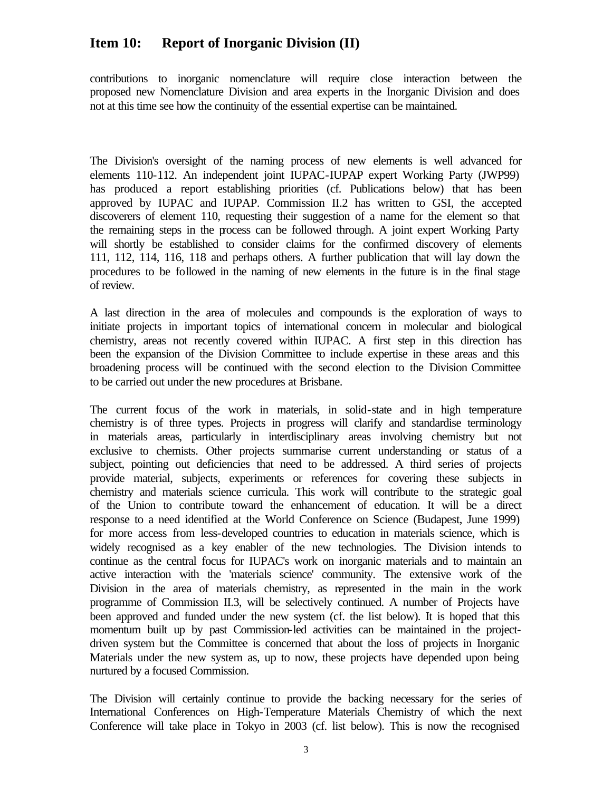contributions to inorganic nomenclature will require close interaction between the proposed new Nomenclature Division and area experts in the Inorganic Division and does not at this time see how the continuity of the essential expertise can be maintained.

The Division's oversight of the naming process of new elements is well advanced for elements 110-112. An independent joint IUPAC-IUPAP expert Working Party (JWP99) has produced a report establishing priorities (cf. Publications below) that has been approved by IUPAC and IUPAP. Commission II.2 has written to GSI, the accepted discoverers of element 110, requesting their suggestion of a name for the element so that the remaining steps in the process can be followed through. A joint expert Working Party will shortly be established to consider claims for the confirmed discovery of elements 111, 112, 114, 116, 118 and perhaps others. A further publication that will lay down the procedures to be followed in the naming of new elements in the future is in the final stage of review.

A last direction in the area of molecules and compounds is the exploration of ways to initiate projects in important topics of international concern in molecular and biological chemistry, areas not recently covered within IUPAC. A first step in this direction has been the expansion of the Division Committee to include expertise in these areas and this broadening process will be continued with the second election to the Division Committee to be carried out under the new procedures at Brisbane.

The current focus of the work in materials, in solid-state and in high temperature chemistry is of three types. Projects in progress will clarify and standardise terminology in materials areas, particularly in interdisciplinary areas involving chemistry but not exclusive to chemists. Other projects summarise current understanding or status of a subject, pointing out deficiencies that need to be addressed. A third series of projects provide material, subjects, experiments or references for covering these subjects in chemistry and materials science curricula. This work will contribute to the strategic goal of the Union to contribute toward the enhancement of education. It will be a direct response to a need identified at the World Conference on Science (Budapest, June 1999) for more access from less-developed countries to education in materials science, which is widely recognised as a key enabler of the new technologies. The Division intends to continue as the central focus for IUPAC's work on inorganic materials and to maintain an active interaction with the 'materials science' community. The extensive work of the Division in the area of materials chemistry, as represented in the main in the work programme of Commission II.3, will be selectively continued. A number of Projects have been approved and funded under the new system (cf. the list below). It is hoped that this momentum built up by past Commission-led activities can be maintained in the projectdriven system but the Committee is concerned that about the loss of projects in Inorganic Materials under the new system as, up to now, these projects have depended upon being nurtured by a focused Commission.

The Division will certainly continue to provide the backing necessary for the series of International Conferences on High-Temperature Materials Chemistry of which the next Conference will take place in Tokyo in 2003 (cf. list below). This is now the recognised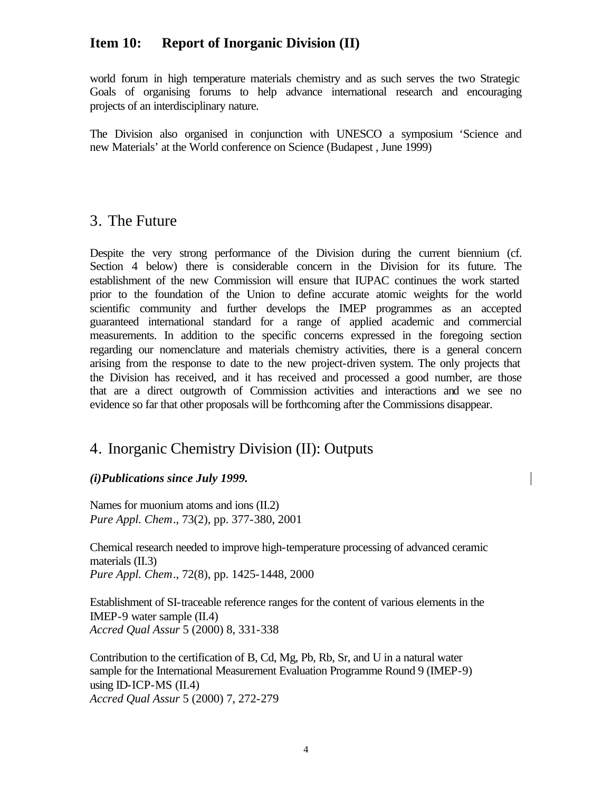world forum in high temperature materials chemistry and as such serves the two Strategic Goals of organising forums to help advance international research and encouraging projects of an interdisciplinary nature.

The Division also organised in conjunction with UNESCO a symposium 'Science and new Materials' at the World conference on Science (Budapest , June 1999)

# 3. The Future

Despite the very strong performance of the Division during the current biennium (cf. Section 4 below) there is considerable concern in the Division for its future. The establishment of the new Commission will ensure that IUPAC continues the work started prior to the foundation of the Union to define accurate atomic weights for the world scientific community and further develops the IMEP programmes as an accepted guaranteed international standard for a range of applied academic and commercial measurements. In addition to the specific concerns expressed in the foregoing section regarding our nomenclature and materials chemistry activities, there is a general concern arising from the response to date to the new project-driven system. The only projects that the Division has received, and it has received and processed a good number, are those that are a direct outgrowth of Commission activities and interactions and we see no evidence so far that other proposals will be forthcoming after the Commissions disappear.

# 4. Inorganic Chemistry Division (II): Outputs

#### *(i)Publications since July 1999.*

Names for muonium atoms and ions (II.2) *Pure Appl. Chem*., 73(2), pp. 377-380, 2001

Chemical research needed to improve high-temperature processing of advanced ceramic materials (II.3) *Pure Appl. Chem*., 72(8), pp. 1425-1448, 2000

Establishment of SI-traceable reference ranges for the content of various elements in the IMEP-9 water sample (II.4) *Accred Qual Assur* 5 (2000) 8, 331-338

Contribution to the certification of B, Cd, Mg, Pb, Rb, Sr, and U in a natural water sample for the International Measurement Evaluation Programme Round 9 (IMEP-9) using ID-ICP-MS  $(II.4)$ *Accred Qual Assur* 5 (2000) 7, 272-279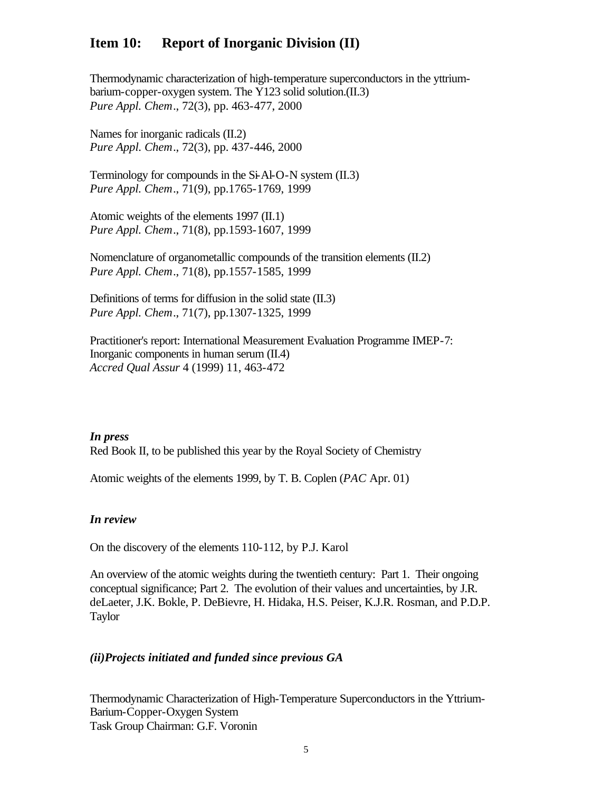Thermodynamic characterization of high-temperature superconductors in the yttriumbarium-copper-oxygen system. The Y123 solid solution.(II.3) *Pure Appl. Chem*., 72(3), pp. 463-477, 2000

Names for inorganic radicals (II.2) *Pure Appl. Chem*., 72(3), pp. 437-446, 2000

Terminology for compounds in the Si-Al-O-N system (II.3) *Pure Appl. Chem*., 71(9), pp.1765-1769, 1999

Atomic weights of the elements 1997 (II.1) *Pure Appl. Chem*., 71(8), pp.1593-1607, 1999

Nomenclature of organometallic compounds of the transition elements (II.2) *Pure Appl. Chem*., 71(8), pp.1557-1585, 1999

Definitions of terms for diffusion in the solid state (II.3) *Pure Appl. Chem*., 71(7), pp.1307-1325, 1999

Practitioner's report: International Measurement Evaluation Programme IMEP-7: Inorganic components in human serum (II.4) *Accred Qual Assur* 4 (1999) 11, 463-472

*In press* Red Book II, to be published this year by the Royal Society of Chemistry

Atomic weights of the elements 1999, by T. B. Coplen (*PAC* Apr. 01)

#### *In review*

On the discovery of the elements 110-112, by P.J. Karol

An overview of the atomic weights during the twentieth century: Part 1. Their ongoing conceptual significance; Part 2. The evolution of their values and uncertainties, by J.R. deLaeter, J.K. Bokle, P. DeBievre, H. Hidaka, H.S. Peiser, K.J.R. Rosman, and P.D.P. Taylor

#### *(ii)Projects initiated and funded since previous GA*

Thermodynamic Characterization of High-Temperature Superconductors in the Yttrium-Barium-Copper-Oxygen System Task Group Chairman: G.F. Voronin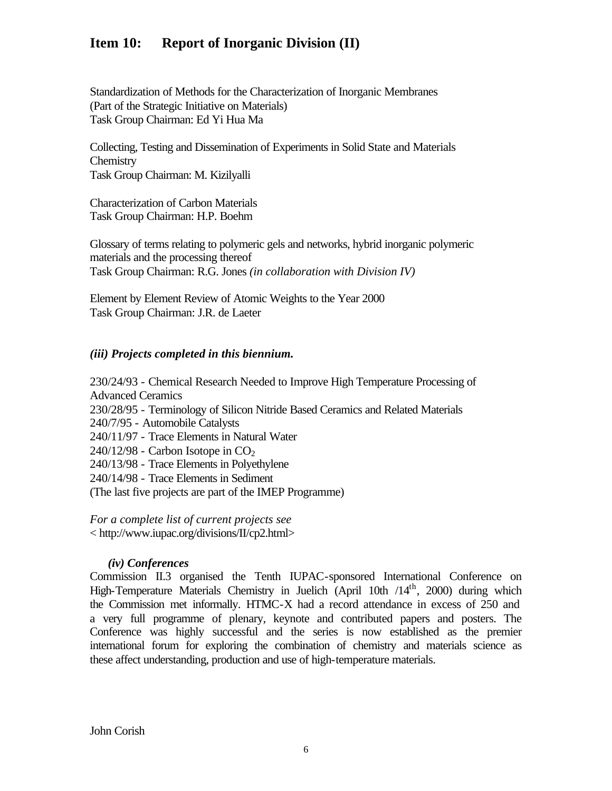Standardization of Methods for the Characterization of Inorganic Membranes (Part of the Strategic Initiative on Materials) Task Group Chairman: Ed Yi Hua Ma

Collecting, Testing and Dissemination of Experiments in Solid State and Materials **Chemistry** Task Group Chairman: M. Kizilyalli

Characterization of Carbon Materials Task Group Chairman: H.P. Boehm

Glossary of terms relating to polymeric gels and networks, hybrid inorganic polymeric materials and the processing thereof Task Group Chairman: R.G. Jones *(in collaboration with Division IV)*

Element by Element Review of Atomic Weights to the Year 2000 Task Group Chairman: J.R. de Laeter

#### *(iii) Projects completed in this biennium.*

230/24/93 - Chemical Research Needed to Improve High Temperature Processing of Advanced Ceramics 230/28/95 - Terminology of Silicon Nitride Based Ceramics and Related Materials 240/7/95 - Automobile Catalysts 240/11/97 - Trace Elements in Natural Water  $240/12/98$  - Carbon Isotope in CO<sub>2</sub> 240/13/98 - Trace Elements in Polyethylene 240/14/98 - Trace Elements in Sediment (The last five projects are part of the IMEP Programme)

*For a complete list of current projects see* < http://www.iupac.org/divisions/II/cp2.html>

#### *(iv) Conferences*

Commission II.3 organised the Tenth IUPAC-sponsored International Conference on High-Temperature Materials Chemistry in Juelich (April 10th /14<sup>th</sup>, 2000) during which the Commission met informally. HTMC-X had a record attendance in excess of 250 and a very full programme of plenary, keynote and contributed papers and posters. The Conference was highly successful and the series is now established as the premier international forum for exploring the combination of chemistry and materials science as these affect understanding, production and use of high-temperature materials.